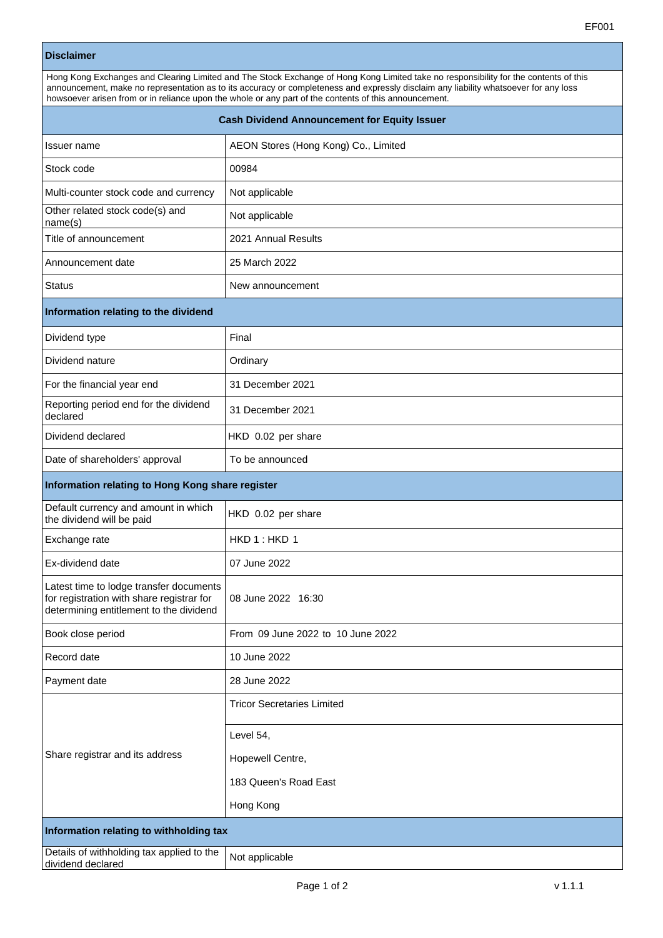## **Disclaimer**

Hong Kong Exchanges and Clearing Limited and The Stock Exchange of Hong Kong Limited take no responsibility for the contents of this announcement, make no representation as to its accuracy or completeness and expressly disclaim any liability whatsoever for any loss howsoever arisen from or in reliance upon the whole or any part of the contents of this announcement.

| <b>Cash Dividend Announcement for Equity Issuer</b>                                                                             |                                      |
|---------------------------------------------------------------------------------------------------------------------------------|--------------------------------------|
| Issuer name                                                                                                                     | AEON Stores (Hong Kong) Co., Limited |
| Stock code                                                                                                                      | 00984                                |
| Multi-counter stock code and currency                                                                                           | Not applicable                       |
| Other related stock code(s) and<br>name(s)                                                                                      | Not applicable                       |
| Title of announcement                                                                                                           | 2021 Annual Results                  |
| Announcement date                                                                                                               | 25 March 2022                        |
| <b>Status</b>                                                                                                                   | New announcement                     |
| Information relating to the dividend                                                                                            |                                      |
| Dividend type                                                                                                                   | Final                                |
| Dividend nature                                                                                                                 | Ordinary                             |
| For the financial year end                                                                                                      | 31 December 2021                     |
| Reporting period end for the dividend<br>declared                                                                               | 31 December 2021                     |
| Dividend declared                                                                                                               | HKD 0.02 per share                   |
| Date of shareholders' approval                                                                                                  | To be announced                      |
| Information relating to Hong Kong share register                                                                                |                                      |
| Default currency and amount in which<br>the dividend will be paid                                                               | HKD 0.02 per share                   |
| Exchange rate                                                                                                                   | HKD 1: HKD 1                         |
| Ex-dividend date                                                                                                                | 07 June 2022                         |
| Latest time to lodge transfer documents<br>for registration with share registrar for<br>determining entitlement to the dividend | 08 June 2022 16:30                   |
| Book close period                                                                                                               | From 09 June 2022 to 10 June 2022    |
| Record date                                                                                                                     | 10 June 2022                         |
| Payment date                                                                                                                    | 28 June 2022                         |
| Share registrar and its address                                                                                                 | <b>Tricor Secretaries Limited</b>    |
|                                                                                                                                 | Level 54,                            |
|                                                                                                                                 | Hopewell Centre,                     |
|                                                                                                                                 | 183 Queen's Road East                |
|                                                                                                                                 | Hong Kong                            |
| Information relating to withholding tax                                                                                         |                                      |
| Details of withholding tax applied to the<br>dividend declared                                                                  | Not applicable                       |